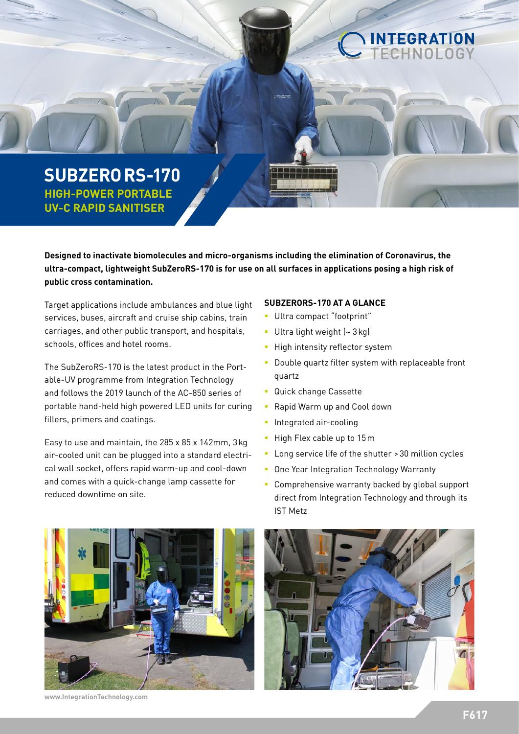# **SUBZERORS-170 HIGH-POWER PORTABLE UV-C RAPID SANITISER**

**Designed to inactivate biomolecules and micro-organisms including the elimination of Coronavirus, the ultra-compact, lightweight SubZeroRS-170 is for use on all surfaces in applications posing a high risk of public cross contamination.** 

Target applications include ambulances and blue light services, buses, aircraft and cruise ship cabins, train carriages, and other public transport, and hospitals, schools, offices and hotel rooms.

The SubZeroRS-170 is the latest product in the Portable-UV programme from Integration Technology and follows the 2019 launch of the AC-850 series of portable hand-held high powered LED units for curing fillers, primers and coatings.

Easy to use and maintain, the 285 x 85 x 142mm, 3kg air-cooled unit can be plugged into a standard electrical wall socket, offers rapid warm-up and cool-down and comes with a quick-change lamp cassette for reduced downtime on site.

### **SUBZERORS-170 AT A GLANCE**

- Ultra compact "footprint"
- Ultra light weight (~ 3 kg)
- **High intensity reflector system**
- **Double quartz filter system with replaceable front** quartz

INTEGRATION

- Quick change Cassette
- Rapid Warm up and Cool down
- **Integrated air-cooling**
- $-High Flex cable up to 15m$
- **-** Long service life of the shutter > 30 million cycles
- **Diamage 1** One Year Integration Technology Warranty
- **Comprehensive warranty backed by global support** direct from Integration Technology and through its IST Metz



**www.IntegrationTechnology.com**